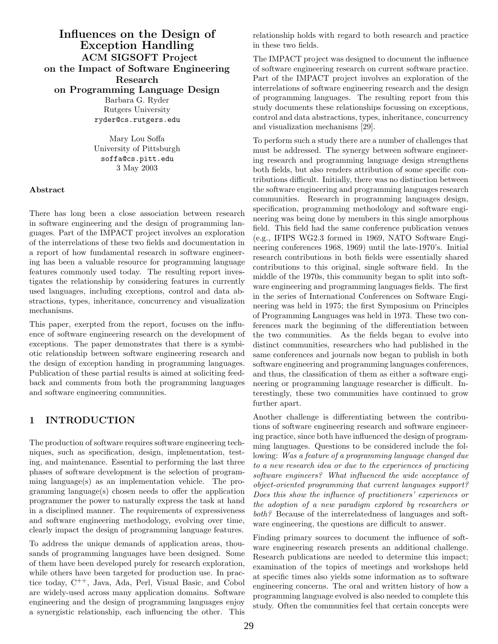# **Influences on the Design of Exception Handling ACM SIGSOFT Project on the Impact of Software Engineering Research on Programming Language Design** Barbara G. Ryder Rutgers University ryder@cs.rutgers.edu

Mary Lou Soffa University of Pittsburgh soffa@cs.pitt.edu 3 May 2003

#### **Abstract**

There has long been a close association between research in software engineering and the design of programming languages. Part of the IMPACT project involves an exploration of the interrelations of these two fields and documentation in a report of how fundamental research in software engineering has been a valuable resource for programming language features commonly used today. The resulting report investigates the relationship by considering features in currently used languages, including exceptions, control and data abstractions, types, inheritance, concurrency and visualization mechanisms.

This paper, exerpted from the report, focuses on the influence of software engineering research on the development of exceptions. The paper demonstrates that there is a symbiotic relationship between software engineering research and the design of exception handing in programming languages. Publication of these partial results is aimed at soliciting feedback and comments from both the programming languages and software engineering communities.

## **1 INTRODUCTION**

The production of software requires software engineering techniques, such as specification, design, implementation, testing, and maintenance. Essential to performing the last three phases of software development is the selection of programming language(s) as an implementation vehicle. The programming language(s) chosen needs to offer the application programmer the power to naturally express the task at hand in a disciplined manner. The requirements of expressiveness and software engineering methodology, evolving over time, clearly impact the design of programming language features.

To address the unique demands of application areas, thousands of programming languages have been designed. Some of them have been developed purely for research exploration, while others have been targeted for production use. In practice today, C++, Java, Ada, Perl, Visual Basic, and Cobol are widely-used across many application domains. Software engineering and the design of programming languages enjoy a synergistic relationship, each influencing the other. This

relationship holds with regard to both research and practice in these two fields.

The IMPACT project was designed to document the influence of software engineering research on current software practice. Part of the IMPACT project involves an exploration of the interrelations of software engineering research and the design of programming languages. The resulting report from this study documents these relationships focussing on exceptions, control and data abstractions, types, inheritance, concurrency and visualization mechanisms [29].

To perform such a study there are a number of challenges that must be addressed. The synergy between software engineering research and programming language design strengthens both fields, but also renders attribution of some specific contributions difficult. Initially, there was no distinction between the software engineering and programming languages research communities. Research in programming languages design, specification, programming methodology and software engineering was being done by members in this single amorphous field. This field had the same conference publication venues (e.g., IFIPS WG2.3 formed in 1969, NATO Software Engineering conferences 1968, 1969) until the late-1970's. Initial research contributions in both fields were essentially shared contributions to this original, single software field. In the middle of the 1970s, this community began to split into software engineering and programming languages fields. The first in the series of International Conferences on Software Engineering was held in 1975; the first Symposium on Principles of Programming Languages was held in 1973. These two conferences mark the beginning of the differentiation between the two communities. As the fields began to evolve into distinct communities, researchers who had published in the same conferences and journals now began to publish in both software engineering and programming languages conferences, and thus, the classification of them as either a software engineering or programming language researcher is difficult. Interestingly, these two communities have continued to grow further apart.

Another challenge is differentiating between the contributions of software engineering research and software engineering practice, since both have influenced the design of programming languages. Questions to be considered include the following: *Was a feature of a programming language changed due to a new research idea or due to the experiences of practicing software engineers? What influenced the wide acceptance of object-oriented programming that current languages support? Does this show the influence of practitioners' experiences or the adoption of a new paradigm explored by researchers or both?* Because of the interrelatedness of languages and software engineering, the questions are difficult to answer.

Finding primary sources to document the influence of software engineering research presents an additional challenge. Research publications are needed to determine this impact; examination of the topics of meetings and workshops held at specific times also yields some information as to software engineering concerns. The oral and written history of how a programming language evolved is also needed to complete this study. Often the communities feel that certain concepts were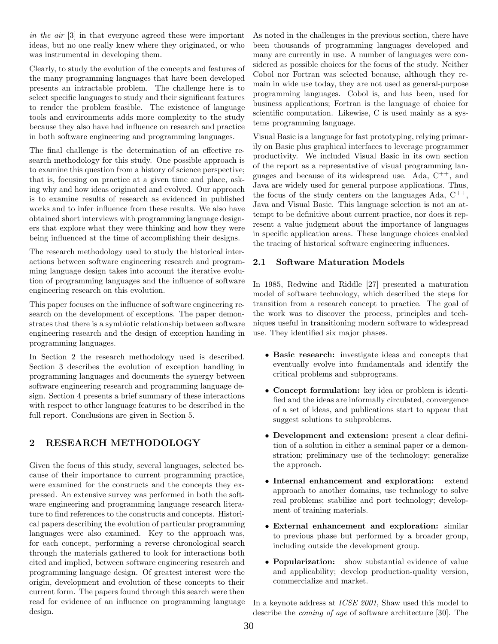*in the air* [3] in that everyone agreed these were important ideas, but no one really knew where they originated, or who was instrumental in developing them.

Clearly, to study the evolution of the concepts and features of the many programming languages that have been developed presents an intractable problem. The challenge here is to select specific languages to study and their significant features to render the problem feasible. The existence of language tools and environments adds more complexity to the study because they also have had influence on research and practice in both software engineering and programming languages.

The final challenge is the determination of an effective research methodology for this study. One possible approach is to examine this question from a history of science perspective; that is, focusing on practice at a given time and place, asking why and how ideas originated and evolved. Our approach is to examine results of research as evidenced in published works and to infer influence from these results. We also have obtained short interviews with programming language designers that explore what they were thinking and how they were being influenced at the time of accomplishing their designs.

The research methodology used to study the historical interactions between software engineering research and programming language design takes into account the iterative evolution of programming languages and the influence of software engineering research on this evolution.

This paper focuses on the influence of software engineering research on the development of exceptions. The paper demonstrates that there is a symbiotic relationship between software engineering research and the design of exception handing in programming languages.

In Section 2 the research methodology used is described. Section 3 describes the evolution of exception handling in programming languages and documents the synergy between software engineering research and programming language design. Section 4 presents a brief summary of these interactions with respect to other language features to be described in the full report. Conclusions are given in Section 5.

# **2 RESEARCH METHODOLOGY**

Given the focus of this study, several languages, selected because of their importance to current programming practice, were examined for the constructs and the concepts they expressed. An extensive survey was performed in both the software engineering and programming language research literature to find references to the constructs and concepts. Historical papers describing the evolution of particular programming languages were also examined. Key to the approach was, for each concept, performing a reverse chronological search through the materials gathered to look for interactions both cited and implied, between software engineering research and programming language design. Of greatest interest were the origin, development and evolution of these concepts to their current form. The papers found through this search were then read for evidence of an influence on programming language design.

As noted in the challenges in the previous section, there have been thousands of programming languages developed and many are currently in use. A number of languages were considered as possible choices for the focus of the study. Neither Cobol nor Fortran was selected because, although they remain in wide use today, they are not used as general-purpose programming languages. Cobol is, and has been, used for business applications; Fortran is the language of choice for scientific computation. Likewise, C is used mainly as a systems programming language.

Visual Basic is a language for fast prototyping, relying primarily on Basic plus graphical interfaces to leverage programmer productivity. We included Visual Basic in its own section of the report as a representative of visual programming languages and because of its widespread use. Ada,  $C^{++}$ , and Java are widely used for general purpose applications. Thus, the focus of the study centers on the languages Ada,  $C^{++}$ , Java and Visual Basic. This language selection is not an attempt to be definitive about current practice, nor does it represent a value judgment about the importance of languages in specific application areas. These language choices enabled the tracing of historical software engineering influences.

## **2.1 Software Maturation Models**

In 1985, Redwine and Riddle [27] presented a maturation model of software technology, which described the steps for transition from a research concept to practice. The goal of the work was to discover the process, principles and techniques useful in transitioning modern software to widespread use. They identified six major phases.

- **Basic research:** investigate ideas and concepts that eventually evolve into fundamentals and identify the critical problems and subprograms.
- **Concept formulation:** key idea or problem is identified and the ideas are informally circulated, convergence of a set of ideas, and publications start to appear that suggest solutions to subproblems.
- **Development and extension:** present a clear definition of a solution in either a seminal paper or a demonstration; preliminary use of the technology; generalize the approach.
- **Internal enhancement and exploration:** extend approach to another domains, use technology to solve real problems; stabilize and port technology; development of training materials.
- **External enhancement and exploration:** similar to previous phase but performed by a broader group, including outside the development group.
- **Popularization:** show substantial evidence of value and applicability; develop production-quality version, commercialize and market.

In a keynote address at *ICSE 2001*, Shaw used this model to describe the *coming of age* of software architecture [30]. The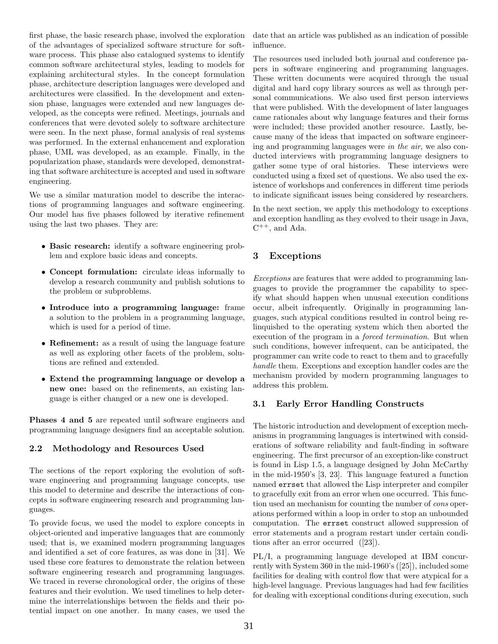first phase, the basic research phase, involved the exploration of the advantages of specialized software structure for software process. This phase also catalogued systems to identify common software architectural styles, leading to models for explaining architectural styles. In the concept formulation phase, architecture description languages were developed and architectures were classified. In the development and extension phase, languages were extended and new languages developed, as the concepts were refined. Meetings, journals and conferences that were devoted solely to software architecture were seen. In the next phase, formal analysis of real systems was performed. In the external enhancement and exploration phase, UML was developed, as an example. Finally, in the popularization phase, standards were developed, demonstrating that software architecture is accepted and used in software engineering.

We use a similar maturation model to describe the interactions of programming languages and software engineering. Our model has five phases followed by iterative refinement using the last two phases. They are:

- **Basic research:** identify a software engineering problem and explore basic ideas and concepts.
- **Concept formulation:** circulate ideas informally to develop a research community and publish solutions to the problem or subproblems.
- **Introduce into a programming language:** frame a solution to the problem in a programming language, which is used for a period of time.
- **Refinement:** as a result of using the language feature as well as exploring other facets of the problem, solutions are refined and extended.
- **Extend the programming language or develop a new one:** based on the refinements, an existing language is either changed or a new one is developed.

**Phases 4 and 5** are repeated until software engineers and programming language designers find an acceptable solution.

#### **2.2 Methodology and Resources Used**

The sections of the report exploring the evolution of software engineering and programming language concepts, use this model to determine and describe the interactions of concepts in software engineering research and programming languages.

To provide focus, we used the model to explore concepts in object-oriented and imperative languages that are commonly used; that is, we examined modern programming languages and identified a set of core features, as was done in [31]. We used these core features to demonstrate the relation between software engineering research and programming languages. We traced in reverse chronological order, the origins of these features and their evolution. We used timelines to help determine the interrelationships between the fields and their potential impact on one another. In many cases, we used the date that an article was published as an indication of possible influence.

The resources used included both journal and conference papers in software engineering and programming languages. These written documents were acquired through the usual digital and hard copy library sources as well as through personal communications. We also used first person interviews that were published. With the development of later languages came rationales about why language features and their forms were included; these provided another resource. Lastly, because many of the ideas that impacted on software engineering and programming languages were *in the air*, we also conducted interviews with programming language designers to gather some type of oral histories. These interviews were conducted using a fixed set of questions. We also used the existence of workshops and conferences in different time periods to indicate significant issues being considered by researchers.

In the next section, we apply this methodology to exceptions and exception handling as they evolved to their usage in Java,  $C^{++}$ , and Ada.

# **3 Exceptions**

*Exceptions* are features that were added to programming languages to provide the programmer the capability to specify what should happen when unusual execution conditions occur, albeit infrequently. Originally in programming languages, such atypical conditions resulted in control being relinquished to the operating system which then aborted the execution of the program in a *forced termination*. But when such conditions, however infrequent, can be anticipated, the programmer can write code to react to them and to gracefully *handle* them. Exceptions and exception handler codes are the mechanism provided by modern programming languages to address this problem.

#### **3.1 Early Error Handling Constructs**

The historic introduction and development of exception mechanisms in programming languages is intertwined with considerations of software reliability and fault-finding in software engineering. The first precursor of an exception-like construct is found in Lisp 1.5, a language designed by John McCarthy in the mid-1950's [3, 23]. This language featured a function named errset that allowed the Lisp interpreter and compiler to gracefully exit from an error when one occurred. This function used an mechanism for counting the number of *cons* operations performed within a loop in order to stop an unbounded computation. The errset construct allowed suppression of error statements and a program restart under certain conditions after an error occurred ([23]).

PL/I, a programming language developed at IBM concurrently with System 360 in the mid-1960's ([25]), included some facilities for dealing with control flow that were atypical for a high-level language. Previous languages had had few facilities for dealing with exceptional conditions during execution, such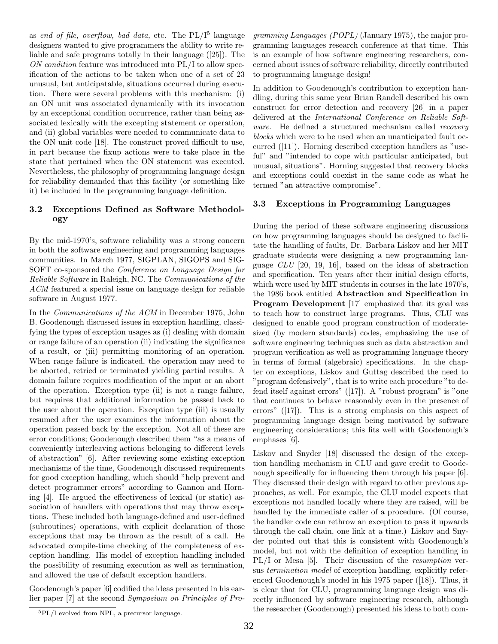as *end of file, overflow, bad data, etc.* The  $PL/I^5$  language designers wanted to give programmers the ability to write reliable and safe programs totally in their language ([25]). The *ON condition* feature was introduced into PL/I to allow specification of the actions to be taken when one of a set of 23 unusual, but anticipatable, situations occurred during execution. There were several problems with this mechanism: (i) an ON unit was associated dynamically with its invocation by an exceptional condition occurrence, rather than being associated lexically with the excepting statement or operation, and (ii) global variables were needed to communicate data to the ON unit code [18]. The construct proved difficult to use, in part because the fixup actions were to take place in the state that pertained when the ON statement was executed. Nevertheless, the philosophy of programming language design for reliability demanded that this facility (or something like it) be included in the programming language definition.

### **3.2 Exceptions Defined as Software Methodology**

By the mid-1970's, software reliability was a strong concern in both the software engineering and programming languages communities. In March 1977, SIGPLAN, SIGOPS and SIG-SOFT co-sponsored the *Conference on Language Design for Reliable Software* in Raleigh, NC. The *Communications of the ACM* featured a special issue on language design for reliable software in August 1977.

In the *Communications of the ACM* in December 1975, John B. Goodenough discussed issues in exception handling, classifying the types of exception usages as (i) dealing with domain or range failure of an operation (ii) indicating the significance of a result, or (iii) permitting monitoring of an operation. When range failure is indicated, the operation may need to be aborted, retried or terminated yielding partial results. A domain failure requires modification of the input or an abort of the operation. Exception type (ii) is not a range failure, but requires that additional information be passed back to the user about the operation. Exception type (iii) is usually resumed after the user examines the information about the operation passed back by the exception. Not all of these are error conditions; Goodenough described them "as a means of conveniently interleaving actions belonging to different levels of abstraction" [6]. After reviewing some existing exception mechanisms of the time, Goodenough discussed requirements for good exception handling, which should "help prevent and detect programmer errors" according to Gannon and Horning [4]. He argued the effectiveness of lexical (or static) association of handlers with operations that may throw exceptions. These included both language-defined and user-defined (subroutines) operations, with explicit declaration of those exceptions that may be thrown as the result of a call. He advocated compile-time checking of the completeness of exception handling. His model of exception handling included the possibility of resuming execution as well as termination, and allowed the use of default exception handlers.

Goodenough's paper [6] codified the ideas presented in his earlier paper [7] at the second *Symposium on Principles of Pro-*

In addition to Goodenough's contribution to exception handling, during this same year Brian Randell described his own construct for error detection and recovery [26] in a paper delivered at the *International Conference on Reliable Software*. He defined a structured mechanism called *recovery blocks* which were to be used when an unanticipated fault occurred ([11]). Horning described exception handlers as "useful" and "intended to cope with particular anticipated, but unusual, situations". Horning suggested that recovery blocks and exceptions could coexist in the same code as what he termed "an attractive compromise".

#### **3.3 Exceptions in Programming Languages**

During the period of these software engineering discussions on how programming languages should be designed to facilitate the handling of faults, Dr. Barbara Liskov and her MIT graduate students were designing a new programming language *CLU* [20, 19, 16], based on the ideas of abstraction and specification. Ten years after their initial design efforts, which were used by MIT students in courses in the late 1970's, the 1986 book entitled **Abstraction and Specification in Program Development** [17] emphasized that its goal was to teach how to construct large programs. Thus, CLU was designed to enable good program construction of moderatesized (by modern standards) codes, emphasizing the use of software engineering techniques such as data abstraction and program verification as well as programming language theory in terms of formal (algebraic) specifications. In the chapter on exceptions, Liskov and Guttag described the need to "program defensively", that is to write each procedure "to defend itself against errors" ([17]). A "robust program" is "one that continues to behave reasonably even in the presence of errors" ([17]). This is a strong emphasis on this aspect of programming language design being motivated by software engineering considerations; this fits well with Goodenough's emphases [6].

Liskov and Snyder [18] discussed the design of the exception handling mechanism in CLU and gave credit to Goodenough specifically for influencing them through his paper [6]. They discussed their design with regard to other previous approaches, as well. For example, the CLU model expects that exceptions not handled locally where they are raised, will be handled by the immediate caller of a procedure. (Of course, the handler code can rethrow an exception to pass it upwards through the call chain, one link at a time.) Liskov and Snyder pointed out that this is consistent with Goodenough's model, but not with the definition of exception handling in PL/I or Mesa [5]. Their discussion of the *resumption* versus *termination model* of exception handling, explicitly referenced Goodenough's model in his 1975 paper ([18]). Thus, it is clear that for CLU, programming language design was directly influenced by software engineering research, although the researcher (Goodenough) presented his ideas to both com-

*gramming Languages (POPL)* (January 1975), the major programming languages research conference at that time. This is an example of how software engineering researchers, concerned about issues of software reliability, directly contributed to programming language design!

<sup>5</sup>PL/I evolved from NPL, a precursor language.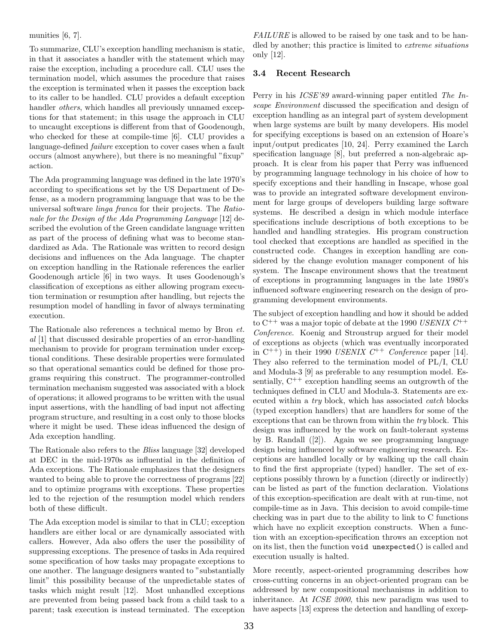#### munities [6, 7].

To summarize, CLU's exception handling mechanism is static, in that it associates a handler with the statement which may raise the exception, including a procedure call. CLU uses the termination model, which assumes the procedure that raises the exception is terminated when it passes the exception back to its caller to be handled. CLU provides a default exception handler *others*, which handles all previously unnamed exceptions for that statement; in this usage the approach in CLU to uncaught exceptions is different from that of Goodenough, who checked for these at compile-time [6]. CLU provides a language-defined *failure* exception to cover cases when a fault occurs (almost anywhere), but there is no meaningful "fixup" action.

The Ada programming language was defined in the late 1970's according to specifications set by the US Department of Defense, as a modern programming language that was to be the universal software *linga franca* for their projects. The *Rationale for the Design of the Ada Programming Language* [12] described the evolution of the Green candidate language written as part of the process of defining what was to become standardized as Ada. The Rationale was written to record design decisions and influences on the Ada language. The chapter on exception handling in the Rationale references the earlier Goodenough article [6] in two ways. It uses Goodenough's classification of exceptions as either allowing program execution termination or resumption after handling, but rejects the resumption model of handling in favor of always terminating execution.

The Rationale also references a technical memo by Bron *et. al* [1] that discussed desirable properties of an error-handling mechanism to provide for program termination under exceptional conditions. These desirable properties were formulated so that operational semantics could be defined for those programs requiring this construct. The programmer-controlled termination mechanism suggested was associated with a block of operations; it allowed programs to be written with the usual input assertions, with the handling of bad input not affecting program structure, and resulting in a cost only to those blocks where it might be used. These ideas influenced the design of Ada exception handling.

The Rationale also refers to the *Bliss* language [32] developed at DEC in the mid-1970s as influential in the definition of Ada exceptions. The Rationale emphasizes that the designers wanted to being able to prove the correctness of programs [22] and to optimize programs with exceptions. These properties led to the rejection of the resumption model which renders both of these difficult.

The Ada exception model is similar to that in CLU; exception handlers are either local or are dynamically associated with callers. However, Ada also offers the user the possibility of suppressing exceptions. The presence of tasks in Ada required some specification of how tasks may propagate exceptions to one another. The language designers wanted to "substantially limit" this possibility because of the unpredictable states of tasks which might result [12]. Most unhandled exceptions are prevented from being passed back from a child task to a parent; task execution is instead terminated. The exception

*FAILURE* is allowed to be raised by one task and to be handled by another; this practice is limited to *extreme situations* only [12].

#### **3.4 Recent Research**

Perry in his *ICSE'89* award-winning paper entitled *The Inscape Environment* discussed the specification and design of exception handling as an integral part of system development when large systems are built by many developers. His model for specifying exceptions is based on an extension of Hoare's input/output predicates [10, 24]. Perry examined the Larch specification language [8], but preferred a non-algebraic approach. It is clear from his paper that Perry was influenced by programming language technology in his choice of how to specify exceptions and their handling in Inscape, whose goal was to provide an integrated software development environment for large groups of developers building large software systems. He described a design in which module interface specifications include descriptions of both exceptions to be handled and handling strategies. His program construction tool checked that exceptions are handled as specified in the constructed code. Changes in exception handling are considered by the change evolution manager component of his system. The Inscape environment shows that the treatment of exceptions in programming languages in the late 1980's influenced software engineering research on the design of programming development environments.

The subject of exception handling and how it should be added to C++ was a major topic of debate at the 1990 *USENIX C*++ *Conference*. Koenig and Stroustrup argued for their model of exceptions as objects (which was eventually incorporated in  $C^{++}$ ) in their 1990 *USENIX C<sup>++</sup> Conference* paper [14]. They also referred to the termination model of PL/I, CLU and Modula-3 [9] as preferable to any resumption model. Essentially,  $C^{++}$  exception handling seems an outgrowth of the techniques defined in CLU and Modula-3. Statements are executed within a *try* block, which has associated *catch* blocks (typed exception handlers) that are handlers for some of the exceptions that can be thrown from within the *try* block. This design was influenced by the work on fault-tolerant systems by B. Randall ([2]). Again we see programming language design being influenced by software engineering research. Exceptions are handled locally or by walking up the call chain to find the first appropriate (typed) handler. The set of exceptions possibly thrown by a function (directly or indirectly) can be listed as part of the function declaration. Violations of this exception-specification are dealt with at run-time, not compile-time as in Java. This decision to avoid compile-time checking was in part due to the ability to link to C functions which have no explicit exception constructs. When a function with an exception-specification throws an exception not on its list, then the function void unexpected() is called and execution usually is halted.

More recently, aspect-oriented programming describes how cross-cutting concerns in an object-oriented program can be addressed by new compositional mechanisms in addition to inheritance. At *ICSE 2000*, this new paradigm was used to have aspects [13] express the detection and handling of excep-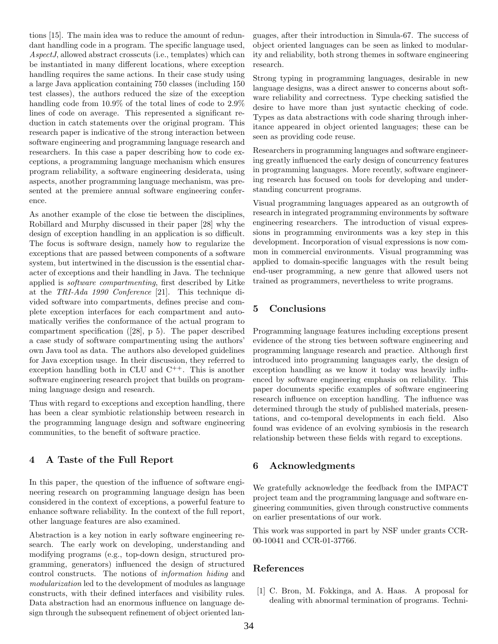tions [15]. The main idea was to reduce the amount of redundant handling code in a program. The specific language used, *AspectJ*, allowed abstract crosscuts (i.e., templates) which can be instantiated in many different locations, where exception handling requires the same actions. In their case study using a large Java application containing 750 classes (including 150 test classes), the authors reduced the size of the exception handling code from 10.9% of the total lines of code to 2.9% lines of code on average. This represented a significant reduction in catch statements over the original program. This research paper is indicative of the strong interaction between software engineering and programming language research and researchers. In this case a paper describing how to code exceptions, a programming language mechanism which ensures program reliability, a software engineering desiderata, using aspects, another programming language mechanism, was presented at the premiere annual software engineering conference.

As another example of the close tie between the disciplines, Robillard and Murphy discussed in their paper [28] why the design of exception handling in an application is so difficult. The focus is software design, namely how to regularize the exceptions that are passed between components of a software system, but intertwined in the discussion is the essential character of exceptions and their handling in Java. The technique applied is *software compartmenting*, first described by Litke at the *TRI-Ada 1990 Conference* [21]. This technique divided software into compartments, defines precise and complete exception interfaces for each compartment and automatically verifies the conformance of the actual program to compartment specification ([28], p 5). The paper described a case study of software compartmenting using the authors' own Java tool as data. The authors also developed guidelines for Java exception usage. In their discussion, they referred to exception handling both in CLU and  $C^{++}$ . This is another software engineering research project that builds on programming language design and research.

Thus with regard to exceptions and exception handling, there has been a clear symbiotic relationship between research in the programming language design and software engineering communities, to the benefit of software practice.

## **4 A Taste of the Full Report**

In this paper, the question of the influence of software engineering research on programming language design has been considered in the context of exceptions, a powerful feature to enhance software reliability. In the context of the full report, other language features are also examined.

Abstraction is a key notion in early software engineering research. The early work on developing, understanding and modifying programs (e.g., top-down design, structured programming, generators) influenced the design of structured control constructs. The notions of *information hiding* and *modularization* led to the development of modules as language constructs, with their defined interfaces and visibility rules. Data abstraction had an enormous influence on language design through the subsequent refinement of object oriented languages, after their introduction in Simula-67. The success of object oriented languages can be seen as linked to modularity and reliability, both strong themes in software engineering research.

Strong typing in programming languages, desirable in new language designs, was a direct answer to concerns about software reliability and correctness. Type checking satisfied the desire to have more than just syntactic checking of code. Types as data abstractions with code sharing through inheritance appeared in object oriented languages; these can be seen as providing code reuse.

Researchers in programming languages and software engineering greatly influenced the early design of concurrency features in programming languages. More recently, software engineering research has focused on tools for developing and understanding concurrent programs.

Visual programming languages appeared as an outgrowth of research in integrated programming environments by software engineering researchers. The introduction of visual expressions in programming environments was a key step in this development. Incorporation of visual expressions is now common in commercial environments. Visual programming was applied to domain-specific languages with the result being end-user programming, a new genre that allowed users not trained as programmers, nevertheless to write programs.

## **5 Conclusions**

Programming language features including exceptions present evidence of the strong ties between software engineering and programming language research and practice. Although first introduced into programming languages early, the design of exception handling as we know it today was heavily influenced by software engineering emphasis on reliability. This paper documents specific examples of software engineering research influence on exception handling. The influence was determined through the study of published materials, presentations, and co-temporal developments in each field. Also found was evidence of an evolving symbiosis in the research relationship between these fields with regard to exceptions.

#### **6 Acknowledgments**

We gratefully acknowledge the feedback from the IMPACT project team and the programming language and software engineering communities, given through constructive comments on earlier presentations of our work.

This work was supported in part by NSF under grants CCR-00-10041 and CCR-01-37766.

### **References**

[1] C. Bron, M. Fokkinga, and A. Haas. A proposal for dealing with abnormal termination of programs. Techni